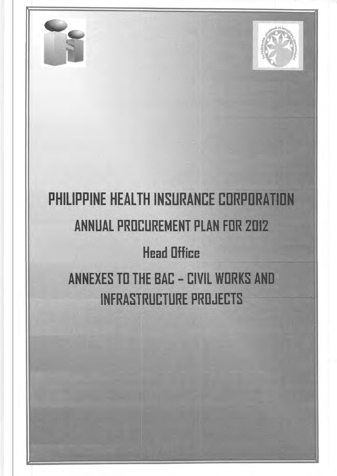

# PHILIPPINE HEALTH INSURANCE CORPORATION **ANNUAL PROCUREMENT PLAN FOR 2012**

### **Head Office**

ANNEXES TO THE BAC - CIVIL WORKS AND **INFRASTRUCTURE PROJECTS**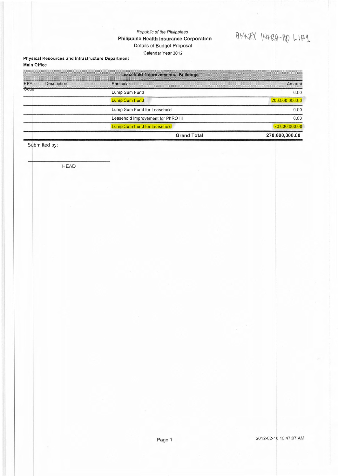#### Republic of the Philippines Philippine Health Insurance Corporation Details of Budget Proposal Calendar Year 2012

## ANNEX INFRA-HO LIB1

#### Physical Resources and Infrastructure Department **Main Office**

|      |             | Leasehold Improvements, Buildings  |                |
|------|-------------|------------------------------------|----------------|
| PPA  | Description | Particular                         | Amount         |
| Code |             | Lump Sum Fund                      | 0.00           |
|      |             | <b>Lump Sum Fund</b>               | 200,000,000.00 |
|      |             | Lump Sum Fund for Leasehold        | 0.00           |
|      |             | Leasehold Improvement for PhRO III | 0.00           |
|      |             | Lump Sum Fund for Leasehold        | 70,000,000.00  |
|      |             | <b>Grand Total</b>                 | 270,000,000.00 |

Submitted by:

**HEAD**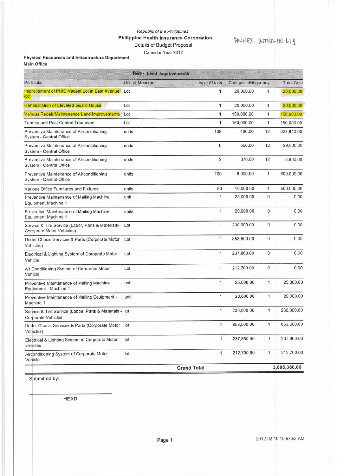#### Republic of the Philippines **Philippine Health Insurance Corporation** Details of Budget Proposal Calendar Year 2012

### ANNEX INTRA-HOLII

#### Physical Resources and Infrastructure Department Main Office

| <b>R&amp;M- Land Improvements</b>                                                   |                 |                    |                      |                |                   |  |  |  |  |
|-------------------------------------------------------------------------------------|-----------------|--------------------|----------------------|----------------|-------------------|--|--|--|--|
| Particular                                                                          | Unit of Measure | No. of Units       | Cost per Unitequency |                | <b>Total Cost</b> |  |  |  |  |
| Improvement of PHIC Vacant Lot in East Avenue.<br>QC                                | Lot             | 1                  | 20,000.00            | 1              | 20,000.00         |  |  |  |  |
| Rehabilitation of Elevated Guard House                                              | Lot             | 1                  | 20,000.00            | 1              | 20,000.00         |  |  |  |  |
| Various Repair/Maintenance Land Improvements                                        | Lot             | $\mathbf{1}$       | 150,000.00           | 1              | 150,000.00        |  |  |  |  |
| <b>Termite and Pest Control Treatment</b>                                           | Lot             | 1                  | 150,000.00           | 1              | 150,000.00        |  |  |  |  |
| Preventive Maintenance of Alrconditioning<br>System - Central Office                | units           | 109                | 480.00               | 12             | 627,840.00        |  |  |  |  |
| Preventive Maintenance of Alrconditioning<br>System - Central Office                | units           | 6                  | 550.00               | 12             | 39,600.00         |  |  |  |  |
| Preventive Maintenance of Alrconditioning<br>System - Central Office                | units           | $\overline{2}$     | 370.00               | 12             | 8,880.00          |  |  |  |  |
| Preventive Maintenance of Alrconditioning<br>System - Central Office                | units           | 100                | 6,000.00             | 1              | 600,000.00        |  |  |  |  |
| Various Office Furnitures and Fixtures                                              | units           | 50                 | 10,000.00            | $\mathbf{1}$   | 500,000.00        |  |  |  |  |
| Preventive Maintenance of Mailing Machine<br>Equipment Machine 1                    | unit            | $\mathbf{1}$       | 25,000.00            | $\overline{0}$ | 0.00              |  |  |  |  |
| Preventive Maintenance of Mailing Machine<br><b>Equipment Machine 1</b>             | units           | 1                  | 20,000.00            | 0              | 0.00              |  |  |  |  |
| Service & Tire Service (Labor, Parts & Materials-<br>Coroprate Motor Vehicles)      | Lot             | $\mathbf{1}$       | 230,000.00           | 0              | 0.00              |  |  |  |  |
| Under Chasis Services & Parts (Corporate Motor<br>Vehicles)                         | Lot             | 1                  | 853,500.00           | $\mathbf 0$    | 0.00              |  |  |  |  |
| Electrical & Lighting System of Coroprate Motor<br>Vehicle                          | Lot             | 1                  | 237,860.00           | $\mathbf{0}$   | 0.00              |  |  |  |  |
| Air Conditioning System of Coroprate Motor<br>Vehicle                               | Lot             | 1                  | 212,700.00           | $\mathbf{0}$   | 0.00              |  |  |  |  |
| Preventive Maintenance of Mailing Machine<br>Equipment - Machine 1                  | unit            | 1                  | 25,000.00            | 1              | 25,000.00         |  |  |  |  |
| Preventive Maintenance of Mailing Equipment -<br>Machine 1                          | unit            | 1                  | 20,000.00            | $\mathbf{1}$   | 20,000.00         |  |  |  |  |
| Service & Tire Service (Laboe, Parts & Materials - lot<br><b>Corporate Vehicles</b> |                 | 1                  | 230,000.00           | 1              | 230,000.00        |  |  |  |  |
| Under Chasis Services & Parts (Corporate Motor<br>Vehicles)                         | lot             | 1                  | 853,500.00           | 1              | 853,500.00        |  |  |  |  |
| Electrical & Lighting System of Corporate Motor<br>vehicles                         | lot             | 1                  | 237,860.00           | $\mathbf{1}$   | 237,860.00        |  |  |  |  |
| Airconditioning System of Corporate Motor<br>Vehicle                                | lot             | 1                  | 212,700.00           | 1              | 212,700.00        |  |  |  |  |
|                                                                                     |                 | <b>Grand Total</b> |                      |                | 3,695,380.00      |  |  |  |  |

Submitted by:

**HEAD**